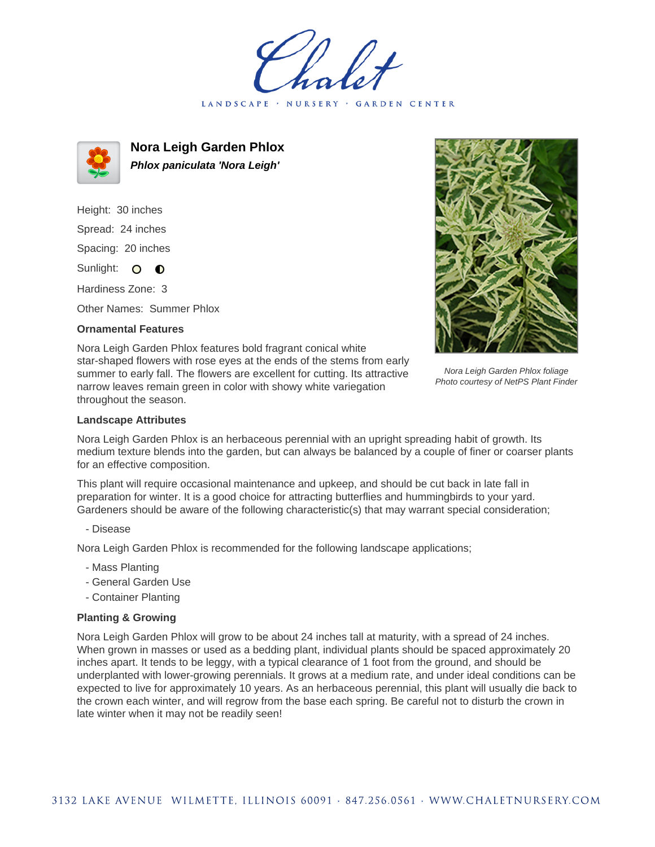LANDSCAPE · NURSERY · GARDEN CENTER



**Nora Leigh Garden Phlox Phlox paniculata 'Nora Leigh'**

Height: 30 inches Spread: 24 inches Spacing: 20 inches Sunlight: O **O** 

Hardiness Zone: 3

Other Names: Summer Phlox

## **Ornamental Features**



Nora Leigh Garden Phlox foliage Photo courtesy of NetPS Plant Finder

Nora Leigh Garden Phlox features bold fragrant conical white star-shaped flowers with rose eyes at the ends of the stems from early summer to early fall. The flowers are excellent for cutting. Its attractive narrow leaves remain green in color with showy white variegation throughout the season.

## **Landscape Attributes**

Nora Leigh Garden Phlox is an herbaceous perennial with an upright spreading habit of growth. Its medium texture blends into the garden, but can always be balanced by a couple of finer or coarser plants for an effective composition.

This plant will require occasional maintenance and upkeep, and should be cut back in late fall in preparation for winter. It is a good choice for attracting butterflies and hummingbirds to your yard. Gardeners should be aware of the following characteristic(s) that may warrant special consideration;

- Disease

Nora Leigh Garden Phlox is recommended for the following landscape applications;

- Mass Planting
- General Garden Use
- Container Planting

## **Planting & Growing**

Nora Leigh Garden Phlox will grow to be about 24 inches tall at maturity, with a spread of 24 inches. When grown in masses or used as a bedding plant, individual plants should be spaced approximately 20 inches apart. It tends to be leggy, with a typical clearance of 1 foot from the ground, and should be underplanted with lower-growing perennials. It grows at a medium rate, and under ideal conditions can be expected to live for approximately 10 years. As an herbaceous perennial, this plant will usually die back to the crown each winter, and will regrow from the base each spring. Be careful not to disturb the crown in late winter when it may not be readily seen!